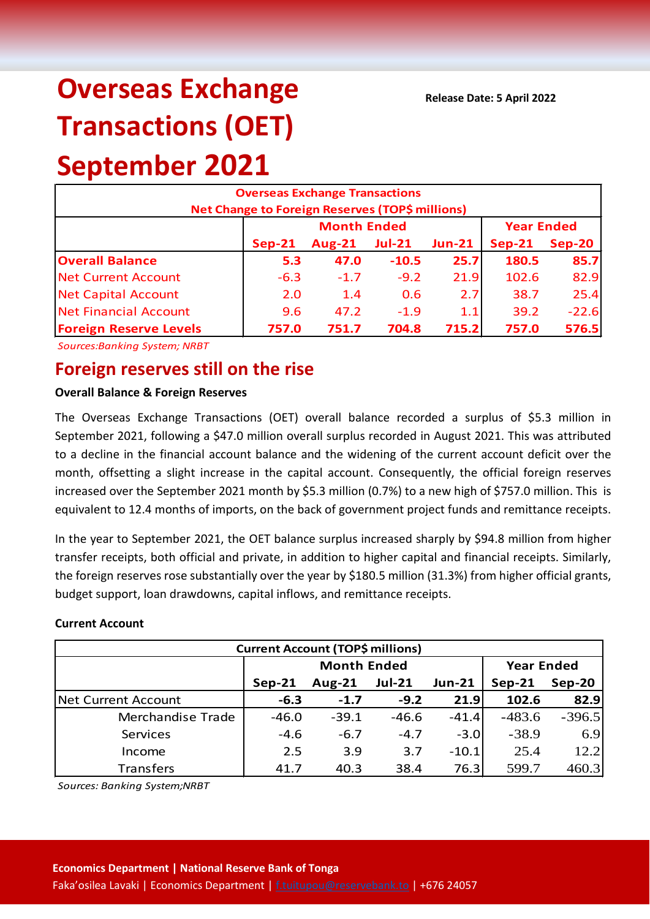# **Overseas Exchange Transactions (OET) September 2021**

| <b>Overseas Exchange Transactions</b>                  |          |                    |                   |          |          |          |  |  |
|--------------------------------------------------------|----------|--------------------|-------------------|----------|----------|----------|--|--|
| <b>Net Change to Foreign Reserves (TOP\$ millions)</b> |          |                    |                   |          |          |          |  |  |
|                                                        |          | <b>Month Ended</b> | <b>Year Ended</b> |          |          |          |  |  |
|                                                        | $Sep-21$ | $Aug-21$           | <b>Jul-21</b>     | $Jun-21$ | $Sep-21$ | $Sep-20$ |  |  |
| <b>Overall Balance</b>                                 | 5.3      | 47.0               | $-10.5$           | 25.7     | 180.5    | 85.7     |  |  |
| <b>Net Current Account</b>                             | $-6.3$   | $-1.7$             | $-9.2$            | 21.9     | 102.6    | 82.9     |  |  |
| <b>Net Capital Account</b>                             | 2.0      | 1.4                | 0.6               | 2.7      | 38.7     | 25.4     |  |  |
| <b>Net Financial Account</b>                           | 9.6      | 47.2               | $-1.9$            | 1.1      | 39.2     | $-22.6$  |  |  |
| <b>Foreign Reserve Levels</b>                          | 757.0    | 751.7              | 704.8             | 715.2    | 757.0    | 576.5    |  |  |

*Sources:Banking System; NRBT*

## **Foreign reserves still on the rise**

#### **Overall Balance & Foreign Reserves**

The Overseas Exchange Transactions (OET) overall balance recorded a surplus of \$5.3 million in September 2021, following a \$47.0 million overall surplus recorded in August 2021. This was attributed to a decline in the financial account balance and the widening of the current account deficit over the month, offsetting a slight increase in the capital account. Consequently, the official foreign reserves increased over the September 2021 month by \$5.3 million (0.7%) to a new high of \$757.0 million. This is equivalent to 12.4 months of imports, on the back of government project funds and remittance receipts.

In the year to September 2021, the OET balance surplus increased sharply by \$94.8 million from higher transfer receipts, both official and private, in addition to higher capital and financial receipts. Similarly, the foreign reserves rose substantially over the year by \$180.5 million (31.3%) from higher official grants, budget support, loan drawdowns, capital inflows, and remittance receipts.

#### **Current Account**

| <b>Current Account (TOP\$ millions)</b> |                    |           |               |               |                   |          |  |  |
|-----------------------------------------|--------------------|-----------|---------------|---------------|-------------------|----------|--|--|
|                                         | <b>Month Ended</b> |           |               |               | <b>Year Ended</b> |          |  |  |
|                                         | $Sep-21$           | Aug- $21$ | <b>Jul-21</b> | <b>Jun-21</b> | $Sep-21$          | $Sep-20$ |  |  |
| Net Current Account                     | $-6.3$             | $-1.7$    | $-9.2$        | 21.9          | 102.6             | 82.9     |  |  |
| Merchandise Trade                       | $-46.0$            | $-39.1$   | $-46.6$       | $-41.4$       | $-483.6$          | $-396.5$ |  |  |
| Services                                | $-4.6$             | $-6.7$    | $-4.7$        | $-3.0$        | $-38.9$           | 6.9      |  |  |
| Income                                  | 2.5                | 3.9       | 3.7           | $-10.1$       | 25.4              | 12.2     |  |  |
| <b>Transfers</b>                        | 41.7               | 40.3      | 38.4          | 76.3          | 599.7             | 460.3    |  |  |

*Sources: Banking System;NRBT*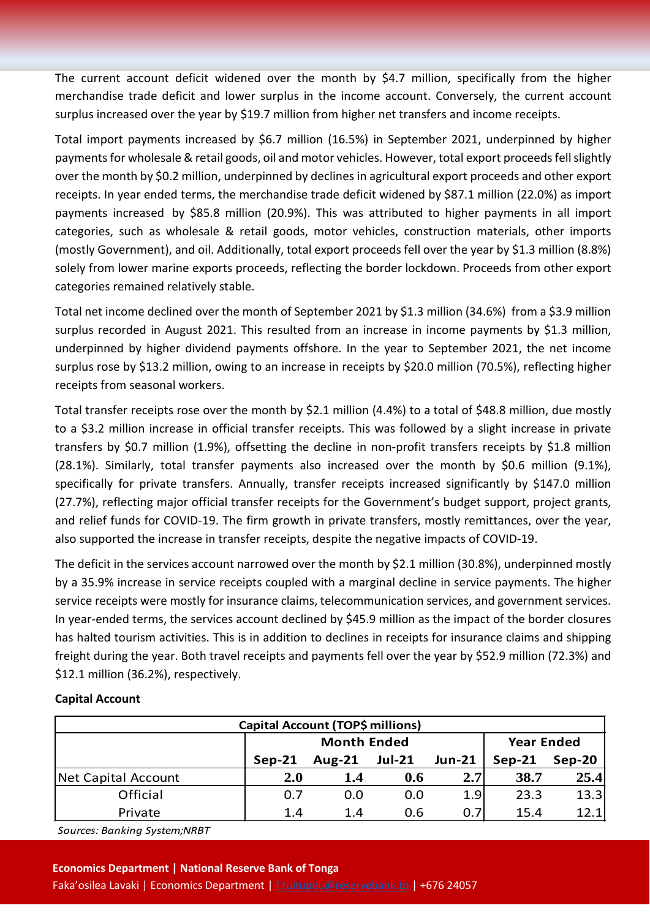The current account deficit widened over the month by \$4.7 million, specifically from the higher merchandise trade deficit and lower surplus in the income account. Conversely, the current account surplus increased over the year by \$19.7 million from higher net transfers and income receipts.

Total import payments increased by \$6.7 million (16.5%) in September 2021, underpinned by higher payments for wholesale & retail goods, oil and motor vehicles. However, total export proceedsfell slightly over the month by \$0.2 million, underpinned by declines in agricultural export proceeds and other export receipts. In year ended terms, the merchandise trade deficit widened by \$87.1 million (22.0%) as import payments increased by \$85.8 million (20.9%). This was attributed to higher payments in all import categories, such as wholesale & retail goods, motor vehicles, construction materials, other imports (mostly Government), and oil. Additionally, total export proceeds fell over the year by \$1.3 million (8.8%) solely from lower marine exports proceeds, reflecting the border lockdown. Proceeds from other export categories remained relatively stable.

Total net income declined over the month of September 2021 by \$1.3 million (34.6%) from a \$3.9 million surplus recorded in August 2021. This resulted from an increase in income payments by \$1.3 million, underpinned by higher dividend payments offshore. In the year to September 2021, the net income surplus rose by \$13.2 million, owing to an increase in receipts by \$20.0 million (70.5%), reflecting higher receipts from seasonal workers.

Total transfer receipts rose over the month by \$2.1 million (4.4%) to a total of \$48.8 million, due mostly to a \$3.2 million increase in official transfer receipts. This was followed by a slight increase in private transfers by \$0.7 million (1.9%), offsetting the decline in non-profit transfers receipts by \$1.8 million (28.1%). Similarly, total transfer payments also increased over the month by \$0.6 million (9.1%), specifically for private transfers. Annually, transfer receipts increased significantly by \$147.0 million (27.7%), reflecting major official transfer receipts for the Government's budget support, project grants, and relief funds for COVID-19. The firm growth in private transfers, mostly remittances, over the year, also supported the increase in transfer receipts, despite the negative impacts of COVID-19.

The deficit in the services account narrowed over the month by \$2.1 million (30.8%), underpinned mostly by a 35.9% increase in service receipts coupled with a marginal decline in service payments. The higher service receipts were mostly for insurance claims, telecommunication services, and government services. In year-ended terms, the services account declined by \$45.9 million as the impact of the border closures has halted tourism activities. This is in addition to declines in receipts for insurance claims and shipping freight during the year. Both travel receipts and payments fell over the year by \$52.9 million (72.3%) and \$12.1 million (36.2%), respectively.

#### **Capital Account**

| Capital Account (TOP\$ millions) |                    |           |               |               |                    |      |  |  |
|----------------------------------|--------------------|-----------|---------------|---------------|--------------------|------|--|--|
|                                  | <b>Month Ended</b> |           |               |               | <b>Year Ended</b>  |      |  |  |
|                                  | $Sep-21$           | Aug- $21$ | <b>Jul-21</b> | <b>Jun-21</b> | Sep-20<br>$Sep-21$ |      |  |  |
| <b>Net Capital Account</b>       | <b>2.0</b>         | 1.4       | 0.6           | 2.7           | 38.7               | 25.4 |  |  |
| Official                         | 0.7                | 0.0       | 0.0           | 1.9           | 23.3               | 13.3 |  |  |
| Private                          | 1.4                | 1.4       | 0.6           | 0.7           | 15.4               | 12.1 |  |  |

*Sources: Banking System;NRBT*

#### **Economics Department | National Reserve Bank of Tonga**

Faka'osilea Lavaki | Economics Department [| f.tuitupou@reservebank.to](mailto:f.tuitupou@reservebank.to) | +676 24057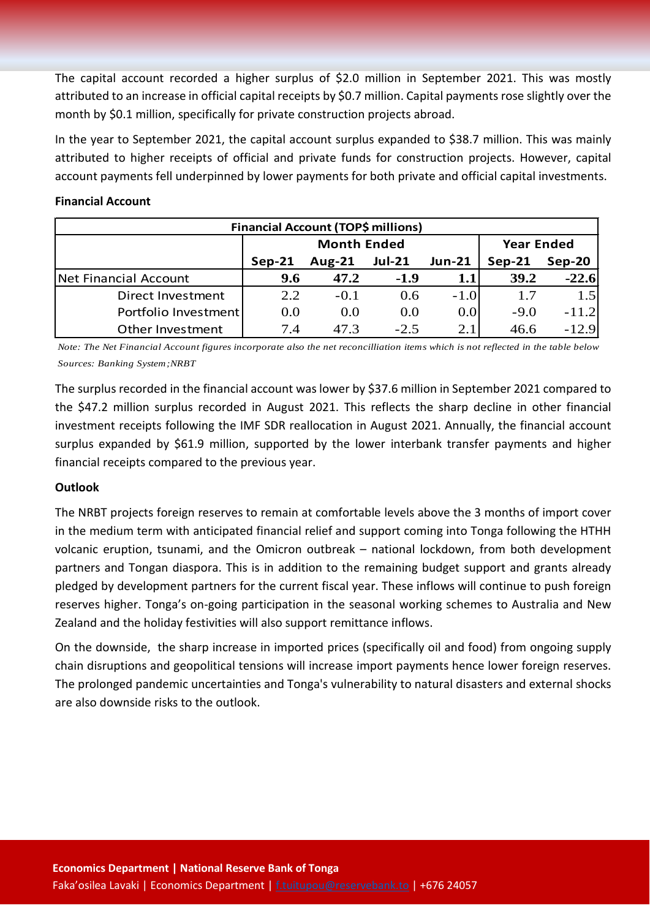The capital account recorded a higher surplus of \$2.0 million in September 2021. This was mostly attributed to an increase in official capital receipts by \$0.7 million. Capital payments rose slightly over the month by \$0.1 million, specifically for private construction projects abroad.

In the year to September 2021, the capital account surplus expanded to \$38.7 million. This was mainly attributed to higher receipts of official and private funds for construction projects. However, capital account payments fell underpinned by lower payments for both private and official capital investments.

#### **Financial Account**

| <b>Financial Account (TOP\$ millions)</b> |          |                    |                   |               |          |         |  |  |
|-------------------------------------------|----------|--------------------|-------------------|---------------|----------|---------|--|--|
|                                           |          | <b>Month Ended</b> | <b>Year Ended</b> |               |          |         |  |  |
|                                           | $Sep-21$ | Aug- $21$          | <b>Jul-21</b>     | <b>Jun-21</b> | $Sep-21$ | Sep-20  |  |  |
| Net Financial Account                     | 9.6      | 47.2               | $-1.9$            | 1.1           | 39.2     | $-22.6$ |  |  |
| Direct Investment                         | 2.2      | $-0.1$             | 0.6               | $-1.0$        | 1.7      | 1.5     |  |  |
| Portfolio Investment                      | 0.0      | 0.0                | 0.0               | 0.0           | $-9.0$   | $-11.2$ |  |  |
| Other Investment                          | 7.4      | 47.3               | $-2.5$            | 2.1           | 46.6     | $-12.9$ |  |  |

*Note: The Net Financial Account figures incorporate also the net reconcilliation items which is not reflected in the table below Sources: Banking System;NRBT*

The surplus recorded in the financial account was lower by \$37.6 million in September 2021 compared to the \$47.2 million surplus recorded in August 2021. This reflects the sharp decline in other financial investment receipts following the IMF SDR reallocation in August 2021. Annually, the financial account surplus expanded by \$61.9 million, supported by the lower interbank transfer payments and higher financial receipts compared to the previous year.

### **Outlook**

The NRBT projects foreign reserves to remain at comfortable levels above the 3 months of import cover in the medium term with anticipated financial relief and support coming into Tonga following the HTHH volcanic eruption, tsunami, and the Omicron outbreak – national lockdown, from both development partners and Tongan diaspora. This is in addition to the remaining budget support and grants already pledged by development partners for the current fiscal year. These inflows will continue to push foreign reserves higher. Tonga's on-going participation in the seasonal working schemes to Australia and New Zealand and the holiday festivities will also support remittance inflows.

On the downside, the sharp increase in imported prices (specifically oil and food) from ongoing supply chain disruptions and geopolitical tensions will increase import payments hence lower foreign reserves. The prolonged pandemic uncertainties and Tonga's vulnerability to natural disasters and external shocks are also downside risks to the outlook.